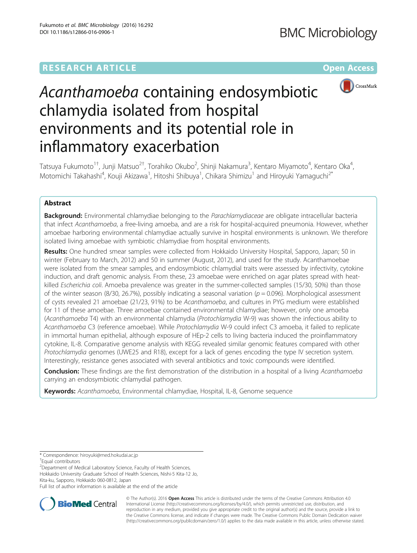## **RESEARCH ARTICLE Example 2014 12:30 The Contract of Contract Article 2014**



# Acanthamoeba containing endosymbiotic chlamydia isolated from hospital environments and its potential role in inflammatory exacerbation

Tatsuya Fukumoto<sup>1†</sup>, Junji Matsuo<sup>2†</sup>, Torahiko Okubo<sup>2</sup>, Shinji Nakamura<sup>3</sup>, Kentaro Miyamoto<sup>4</sup>, Kentaro Oka<sup>4</sup> , Motomichi Takahashi<sup>4</sup>, Kouji Akizawa<sup>1</sup>, Hitoshi Shibuya<sup>1</sup>, Chikara Shimizu<sup>1</sup> and Hiroyuki Yamaguchi<sup>2\*</sup>

## Abstract

Background: Environmental chlamydiae belonging to the Parachlamydiaceae are obligate intracellular bacteria that infect Acanthamoeba, a free-living amoeba, and are a risk for hospital-acquired pneumonia. However, whether amoebae harboring environmental chlamydiae actually survive in hospital environments is unknown. We therefore isolated living amoebae with symbiotic chlamydiae from hospital environments.

Results: One hundred smear samples were collected from Hokkaido University Hospital, Sapporo, Japan; 50 in winter (February to March, 2012) and 50 in summer (August, 2012), and used for the study. Acanthamoebae were isolated from the smear samples, and endosymbiotic chlamydial traits were assessed by infectivity, cytokine induction, and draft genomic analysis. From these, 23 amoebae were enriched on agar plates spread with heatkilled Escherichia coli. Amoeba prevalence was greater in the summer-collected samples (15/30, 50%) than those of the winter season (8/30, 26.7%), possibly indicating a seasonal variation ( $p = 0.096$ ). Morphological assessment of cysts revealed 21 amoebae (21/23, 91%) to be Acanthamoeba, and cultures in PYG medium were established for 11 of these amoebae. Three amoebae contained environmental chlamydiae; however, only one amoeba (Acanthamoeba T4) with an environmental chlamydia (Protochlamydia W-9) was shown the infectious ability to Acanthamoeba C3 (reference amoebae). While Protochlamydia W-9 could infect C3 amoeba, it failed to replicate in immortal human epithelial, although exposure of HEp-2 cells to living bacteria induced the proinflammatory cytokine, IL-8. Comparative genome analysis with KEGG revealed similar genomic features compared with other Protochlamydia genomes (UWE25 and R18), except for a lack of genes encoding the type IV secretion system. Interestingly, resistance genes associated with several antibiotics and toxic compounds were identified.

Conclusion: These findings are the first demonstration of the distribution in a hospital of a living Acanthamoeba carrying an endosymbiotic chlamydial pathogen.

Keywords: Acanthamoeba, Environmental chlamydiae, Hospital, IL-8, Genome sequence

<sup>2</sup> Department of Medical Laboratory Science, Faculty of Health Sciences, Hokkaido University Graduate School of Health Sciences, Nishi-5 Kita-12 Jo, Kita-ku, Sapporo, Hokkaido 060-0812, Japan

Full list of author information is available at the end of the article



© The Author(s). 2016 Open Access This article is distributed under the terms of the Creative Commons Attribution 4.0 International License [\(http://creativecommons.org/licenses/by/4.0/](http://creativecommons.org/licenses/by/4.0/)), which permits unrestricted use, distribution, and reproduction in any medium, provided you give appropriate credit to the original author(s) and the source, provide a link to the Creative Commons license, and indicate if changes were made. The Creative Commons Public Domain Dedication waiver [\(http://creativecommons.org/publicdomain/zero/1.0/](http://creativecommons.org/publicdomain/zero/1.0/)) applies to the data made available in this article, unless otherwise stated.

<sup>\*</sup> Correspondence: [hiroyuki@med.hokudai.ac.jp](mailto:hiroyuki@med.hokudai.ac.jp) †

<sup>&</sup>lt;sup>†</sup>Equal contributors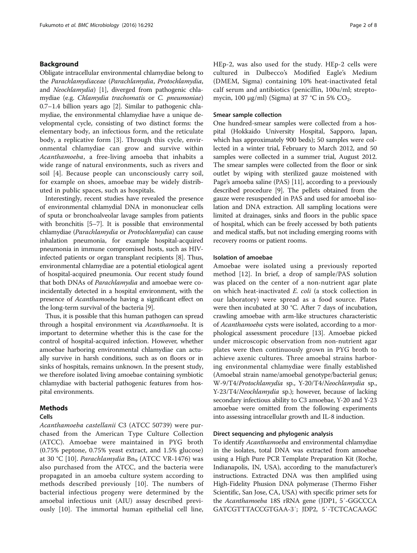## Background

Obligate intracellular environmental chlamydiae belong to the Parachlamydiaceae (Parachlamydia, Protochlamydia, and Neochlamydia) [[1](#page-6-0)], diverged from pathogenic chlamydiae (e.g. Chlamydia trachomatis or C. pneumoniae) 0.7–1.4 billion years ago [\[2](#page-6-0)]. Similar to pathogenic chlamydiae, the environmental chlamydiae have a unique developmental cycle, consisting of two distinct forms: the elementary body, an infectious form, and the reticulate body, a replicative form [\[3\]](#page-6-0). Through this cycle, environmental chlamydiae can grow and survive within Acanthamoeba, a free-living amoeba that inhabits a wide range of natural environments, such as rivers and soil [\[4](#page-6-0)]. Because people can unconsciously carry soil, for example on shoes, amoebae may be widely distributed in public spaces, such as hospitals.

Interestingly, recent studies have revealed the presence of environmental chlamydial DNA in mononuclear cells of sputa or bronchoalveolar lavage samples from patients with bronchitis [\[5](#page-6-0)–[7\]](#page-6-0). It is possible that environmental chlamydiae (Parachlamydia or Protochlamydia) can cause inhalation pneumonia, for example hospital-acquired pneumonia in immune compromised hosts, such as HIVinfected patients or organ transplant recipients [\[8](#page-6-0)]. Thus, environmental chlamydiae are a potential etiological agent of hospital-acquired pneumonia. Our recent study found that both DNAs of Parachlamydia and amoebae were coincidentally detected in a hospital environment, with the presence of Acanthamoeba having a significant effect on the long-term survival of the bacteria [[9\]](#page-6-0).

Thus, it is possible that this human pathogen can spread through a hospital environment via Acanthamoeba. It is important to determine whether this is the case for the control of hospital-acquired infection. However, whether amoebae harboring environmental chlamydiae can actually survive in harsh conditions, such as on floors or in sinks of hospitals, remains unknown. In the present study, we therefore isolated living amoebae containing symbiotic chlamydiae with bacterial pathogenic features from hospital environments.

## Methods

## Cells

Acanthamoeba castellanii C3 (ATCC 50739) were purchased from the American Type Culture Collection (ATCC). Amoebae were maintained in PYG broth (0.75% peptone, 0.75% yeast extract, and 1.5% glucose) at 30 °C [\[10](#page-7-0)]. *Parachlamydia* Bn<sub>9</sub> (ATCC VR-1476) was also purchased from the ATCC, and the bacteria were propagated in an amoeba culture system according to methods described previously [[10](#page-7-0)]. The numbers of bacterial infectious progeny were determined by the amoebal infectious unit (AIU) assay described previously [\[10](#page-7-0)]. The immortal human epithelial cell line, HEp-2, was also used for the study. HEp-2 cells were cultured in Dulbecco's Modified Eagle's Medium (DMEM, Sigma) containing 10% heat-inactivated fetal calf serum and antibiotics (penicillin, 100u/ml; streptomycin, 100 μg/ml) (Sigma) at 37 °C in 5%  $CO_2$ .

## Smear sample collection

One hundred-smear samples were collected from a hospital (Hokkaido University Hospital, Sapporo, Japan, which has approximately 900 beds); 50 samples were collected in a winter trial, February to March 2012, and 50 samples were collected in a summer trial, August 2012. The smear samples were collected from the floor or sink outlet by wiping with sterilized gauze moistened with Page's amoeba saline (PAS) [[11](#page-7-0)], according to a previously described procedure [\[9\]](#page-6-0). The pellets obtained from the gauze were resuspended in PAS and used for amoebal isolation and DNA extraction. All sampling locations were limited at drainages, sinks and floors in the public space of hospital, which can be freely accessed by both patients and medical staffs, but not including emerging rooms with recovery rooms or patient rooms.

#### Isolation of amoebae

Amoebae were isolated using a previously reported method [[12\]](#page-7-0). In brief, a drop of sample/PAS solution was placed on the center of a non-nutrient agar plate on which heat-inactivated E. coli (a stock collection in our laboratory) were spread as a food source. Plates were then incubated at 30 °C. After 7 days of incubation, crawling amoebae with arm-like structures characteristic of Acanthamoeba cysts were isolated, according to a morphological assessment procedure [\[13\]](#page-7-0). Amoebae picked under microscopic observation from non-nutrient agar plates were then continuously grown in PYG broth to achieve axenic cultures. Three amoebal strains harboring environmental chlamydiae were finally established (Amoebal strain name/amoebal genotype/bacterial genus; W-9/T4/Protochlamydia sp., Y-20/T4/Neochlamydia sp., Y-23/T4/Neochlamydia sp.); however, because of lacking secondary infectious ability to C3 amoebae, Y-20 and Y-23 amoebae were omitted from the following experiments into assessing intracellular growth and IL-8 induction.

#### Direct sequencing and phylogenic analysis

To identify Acanthamoeba and environmental chlamydiae in the isolates, total DNA was extracted from amoebae using a High Pure PCR Template Preparation Kit (Roche, Indianapolis, IN, USA), according to the manufacturer's instructions. Extracted DNA was then amplified using High-Fidelity Phusion DNA polymerase (Thermo Fisher Scientific, San Jose, CA, USA) with specific primer sets for the Acanthamoeba 18S rRNA gene (JDP1, 5′-GGCCCA GATCGTTTACCGTGAA-3′; JDP2, 5′-TCTCACAAGC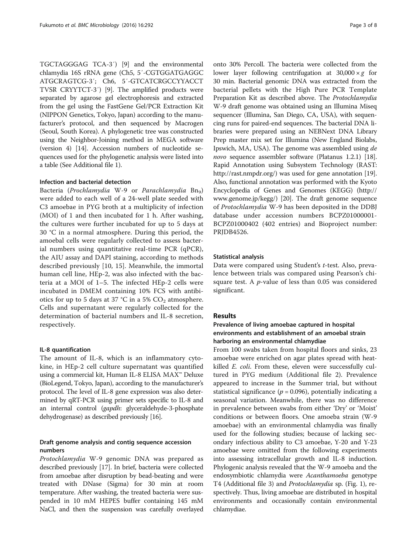TGCTAGGGAG TCA-3′) [\[9\]](#page-6-0) and the environmental chlamydia 16S rRNA gene (Ch5, 5′-CGTGGATGAGGC ATGCRAGTCG-3′; Ch6, 5′-GTCATCRGCCYYACCT TVSR CRYYTCT-3′) [[9\]](#page-6-0). The amplified products were separated by agarose gel electrophoresis and extracted from the gel using the FastGene Gel/PCR Extraction Kit (NIPPON Genetics, Tokyo, Japan) according to the manufacturer's protocol, and then sequenced by Macrogen (Seoul, South Korea). A phylogenetic tree was constructed using the Neighbor-Joining method in MEGA software (version 4) [\[14\]](#page-7-0). Accession numbers of nucleotide sequences used for the phylogenetic analysis were listed into a table (See Additional file [1](#page-6-0)).

## Infection and bacterial detection

Bacteria (Prochlamydia W-9 or Parachlamydia Bn<sub>9</sub>) were added to each well of a 24-well plate seeded with C3 amoebae in PYG broth at a multiplicity of infection (MOI) of 1 and then incubated for 1 h. After washing, the cultures were further incubated for up to 5 days at 30 °C in a normal atmosphere. During this period, the amoebal cells were regularly collected to assess bacterial numbers using quantitative real-time PCR (qPCR), the AIU assay and DAPI staining, according to methods described previously [[10](#page-7-0), [15\]](#page-7-0). Meanwhile, the immortal human cell line, HEp-2, was also infected with the bacteria at a MOI of 1–5. The infected HEp-2 cells were incubated in DMEM containing 10% FCS with antibiotics for up to 5 days at 37 °C in a 5%  $CO<sub>2</sub>$  atmosphere. Cells and supernatant were regularly collected for the determination of bacterial numbers and IL-8 secretion, respectively.

#### IL-8 quantification

The amount of IL-8, which is an inflammatory cytokine, in HEp-2 cell culture supernatant was quantified using a commercial kit, Human IL-8 ELISA MAX™ Deluxe (BioLegend, Tokyo, Japan), according to the manufacturer's protocol. The level of IL-8 gene expression was also determined by qRT-PCR using primer sets specific to IL-8 and an internal control (gapdh: glyceraldehyde-3-phosphate dehydrogenase) as described previously [\[16\]](#page-7-0).

## Draft genome analysis and contig sequence accession numbers

Protochlamydia W-9 genomic DNA was prepared as described previously [[17\]](#page-7-0). In brief, bacteria were collected from amoebae after disruption by bead-beating and were treated with DNase (Sigma) for 30 min at room temperature. After washing, the treated bacteria were suspended in 10 mM HEPES buffer containing 145 mM NaCl, and then the suspension was carefully overlayed

onto 30% Percoll. The bacteria were collected from the lower layer following centrifugation at  $30,000 \times g$  for 30 min. Bacterial genomic DNA was extracted from the bacterial pellets with the High Pure PCR Template Preparation Kit as described above. The Protochlamydia W-9 draft genome was obtained using an Illumina Miseq sequencer (Illumina, San Diego, CA, USA), with sequencing runs for paired-end sequences. The bacterial DNA libraries were prepared using an NEBNext DNA Library Prep master mix set for Illumina (New England Biolabs, Ipswich, MA, USA). The genome was assembled using de novo sequence assembler software (Platanus 1.2.1) [[18](#page-7-0)]. Rapid Annotation using Subsystem Technology (RAST: <http://rast.nmpdr.org/>) was used for gene annotation [[19](#page-7-0)]. Also, functional annotation was performed with the Kyoto Encyclopedia of Genes and Genomes (KEGG) ([http://](http://www.genome.jp/kegg/) [www.genome.jp/kegg/\)](http://www.genome.jp/kegg/) [\[20\]](#page-7-0). The draft genome sequence of Protochlamydia W-9 has been deposited in the DDBJ database under accession numbers BCPZ01000001- BCPZ01000402 (402 entries) and Bioproject number: PRJDB4526.

#### Statistical analysis

Data were compared using Student's t-test. Also, prevalence between trials was compared using Pearson's chisquare test. A  $p$ -value of less than 0.05 was considered significant.

## Results

## Prevalence of living amoebae captured in hospital environments and establishment of an amoebal strain harboring an environmental chlamydiae

From 100 swabs taken from hospital floors and sinks, 23 amoebae were enriched on agar plates spread with heatkilled E. coli. From these, eleven were successfully cultured in PYG medium (Additional file [2\)](#page-6-0). Prevalence appeared to increase in the Summer trial, but without statistical significance ( $p = 0.096$ ), potentially indicating a seasonal variation. Meanwhile, there was no difference in prevalence between swabs from either 'Dry' or 'Moist' conditions or between floors. One amoeba strain (W-9 amoebae) with an environmental chlamydia was finally used for the following studies; because of lacking secondary infectious ability to C3 amoebae, Y-20 and Y-23 amoebae were omitted from the following experiments into assessing intracellular growth and IL-8 induction. Phylogenic analysis revealed that the W-9 amoeba and the endosymbiotic chlamydia were Acanthamoeba genotype T4 (Additional file [3](#page-6-0)) and Protochlamydia sp. (Fig. [1\)](#page-3-0), respectively. Thus, living amoebae are distributed in hospital environments and occasionally contain environmental chlamydiae.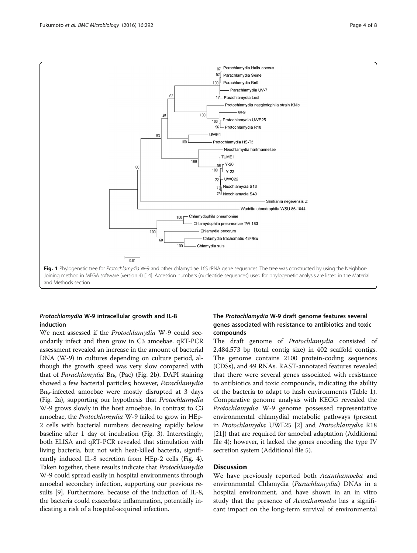

<span id="page-3-0"></span>

## Protochlamydia W-9 intracellular growth and IL-8 induction

We next assessed if the Protochlamydia W-9 could secondarily infect and then grow in C3 amoebae. qRT-PCR assessment revealed an increase in the amount of bacterial DNA (W-9) in cultures depending on culture period, although the growth speed was very slow compared with that of Parachlamydia Bn<sub>9</sub> (Pac) (Fig. [2b](#page-4-0)). DAPI staining showed a few bacterial particles; however, Parachlamydia Bn9-infected amoebae were mostly disrupted at 3 days (Fig. [2a](#page-4-0)), supporting our hypothesis that Protochlamydia W-9 grows slowly in the host amoebae. In contrast to C3 amoebae, the Protochlamydia W-9 failed to grow in HEp-2 cells with bacterial numbers decreasing rapidly below baseline after 1 day of incubation (Fig. [3](#page-4-0)). Interestingly, both ELISA and qRT-PCR revealed that stimulation with living bacteria, but not with heat-killed bacteria, significantly induced IL-8 secretion from HEp-2 cells (Fig. [4](#page-5-0)). Taken together, these results indicate that Protochlamydia W-9 could spread easily in hospital environments through amoebal secondary infection, supporting our previous results [\[9\]](#page-6-0). Furthermore, because of the induction of IL-8, the bacteria could exacerbate inflammation, potentially indicating a risk of a hospital-acquired infection.

## The Protochlamydia W-9 draft genome features several genes associated with resistance to antibiotics and toxic compounds

The draft genome of Protochlamydia consisted of 2,484,573 bp (total contig size) in 402 scaffold contigs. The genome contains 2100 protein-coding sequences (CDSs), and 49 RNAs. RAST-annotated features revealed that there were several genes associated with resistance to antibiotics and toxic compounds, indicating the ability of the bacteria to adapt to hash environments (Table [1](#page-5-0)). Comparative genome analysis with KEGG revealed the Protochlamydia W-9 genome possessed representative environmental chlamydial metabolic pathways (present in Protochlamydia UWE25 [[2\]](#page-6-0) and Protochlamydia R18 [[21](#page-7-0)]) that are required for amoebal adaptation (Additional file [4](#page-6-0)); however, it lacked the genes encoding the type IV secretion system (Additional file [5\)](#page-6-0).

## Discussion

We have previously reported both Acanthamoeba and environmental Chlamydia (Parachlamydia) DNAs in a hospital environment, and have shown in an in vitro study that the presence of *Acanthamoeba* has a significant impact on the long-term survival of environmental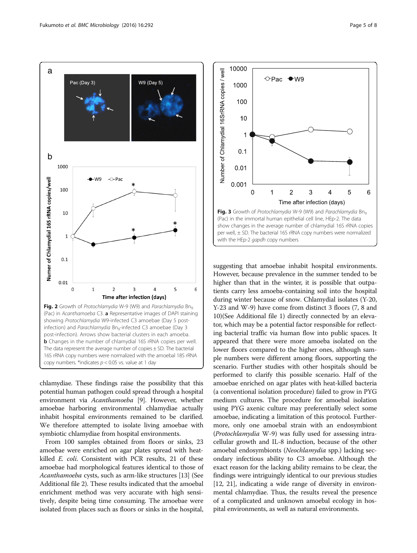

<span id="page-4-0"></span>

chlamydiae. These findings raise the possibility that this potential human pathogen could spread through a hospital environment via Acanthamoeba [\[9](#page-6-0)]. However, whether amoebae harboring environmental chlamydiae actually inhabit hospital environments remained to be clarified. We therefore attempted to isolate living amoebae with symbiotic chlamydiae from hospital environments.

From 100 samples obtained from floors or sinks, 23 amoebae were enriched on agar plates spread with heatkilled E. coli. Consistent with PCR results, 21 of these amoebae had morphological features identical to those of Acanthamoeba cysts, such as arm-like structures [\[13\]](#page-7-0) (See Additional file [2](#page-6-0)). These results indicated that the amoebal enrichment method was very accurate with high sensitively, despite being time consuming. The amoebae were isolated from places such as floors or sinks in the hospital,



suggesting that amoebae inhabit hospital environments. However, because prevalence in the summer tended to be higher than that in the winter, it is possible that outpatients carry less amoeba-containing soil into the hospital during winter because of snow. Chlamydial isolates (Y-20, Y-23 and W-9) have come from distinct 3 floors (7, 8 and 10)(See Additional file [1](#page-6-0)) directly connected by an elevator, which may be a potential factor responsible for reflecting bacterial traffic via human flow into public spaces. It appeared that there were more amoeba isolated on the lower floors compared to the higher ones, although sample numbers were different among floors, supporting the scenario. Further studies with other hospitals should be performed to clarify this possible scenario. Half of the amoebae enriched on agar plates with heat-killed bacteria (a conventional isolation procedure) failed to grow in PYG medium cultures. The procedure for amoebal isolation using PYG axenic culture may preferentially select some amoebae, indicating a limitation of this protocol. Furthermore, only one amoebal strain with an endosymbiont (Protochlamydia W-9) was fully used for assessing intracellular growth and IL-8 induction, because of the other amoebal endosymbionts (Neochlamydia spp.) lacking secondary infectious ability to C3 amoebae. Although the exact reason for the lacking ability remains to be clear, the findings were intriguingly identical to our previous studies [[12](#page-7-0), [21](#page-7-0)], indicating a wide range of diversity in environmental chlamydiae. Thus, the results reveal the presence of a complicated and unknown amoebal ecology in hospital environments, as well as natural environments.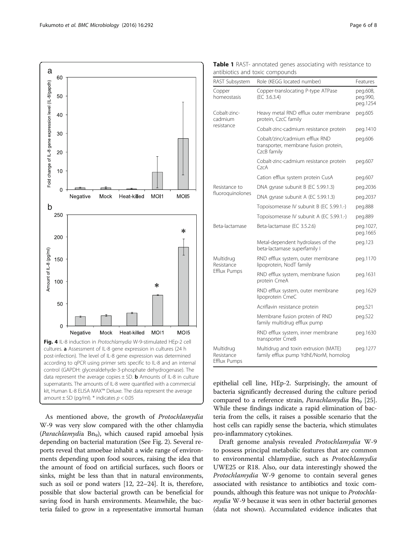<span id="page-5-0"></span>

As mentioned above, the growth of Protochlamydia W-9 was very slow compared with the other chlamydia (Parachlamydia Bn<sub>9</sub>), which caused rapid amoebal lysis depending on bacterial maturation (See Fig. [2\)](#page-4-0). Several reports reveal that amoebae inhabit a wide range of environments depending upon food sources, raising the idea that the amount of food on artificial surfaces, such floors or sinks, might be less than that in natural environments, such as soil or pond waters [\[12, 22](#page-7-0)–[24](#page-7-0)]. It is, therefore, possible that slow bacterial growth can be beneficial for saving food in harsh environments. Meanwhile, the bacteria failed to grow in a representative immortal human

| RAST Subsystem                                 | Role (KEGG located number)                                                             | Features                         |
|------------------------------------------------|----------------------------------------------------------------------------------------|----------------------------------|
| Copper<br>homeostasis                          | Copper-translocating P-type ATPase<br>(EC 3.6.3.4)                                     | peg.608,<br>peg.990,<br>peg.1254 |
| Cobalt-zinc-<br>cadmium<br>resistance          | Heavy metal RND efflux outer membrane<br>protein, CzcC family                          | peg.605                          |
|                                                | Cobalt-zinc-cadmium resistance protein                                                 | peg.1410                         |
|                                                | Cobalt/zinc/cadmium efflux RND<br>transporter, membrane fusion protein,<br>CzcB family | peg.606                          |
|                                                | Cobalt-zinc-cadmium resistance protein<br>CzcA                                         | peg.607                          |
|                                                | Cation efflux system protein CusA                                                      | peg.607                          |
| Resistance to<br>fluoroquinolones              | DNA gyrase subunit B (EC 5.99.1.3)                                                     | peg.2036                         |
|                                                | DNA gyrase subunit A (EC 5.99.1.3)                                                     | peg.2037                         |
|                                                | Topoisomerase IV subunit B (EC 5.99.1.-)                                               | peg.888                          |
|                                                | Topoisomerase IV subunit A (EC 5.99.1.-)                                               | peg.889                          |
| Beta-lactamase                                 | Beta-lactamase (EC 3.5.2.6)                                                            | peg.1027,<br>peg.1665            |
|                                                | Metal-dependent hydrolases of the<br>beta-lactamase superfamily I                      | peg.123                          |
| Multidrug<br>Resistance<br><b>Efflux Pumps</b> | RND efflux system, outer membrane<br>lipoprotein, NodT family                          | peg.1170                         |
|                                                | RND efflux system, membrane fusion<br>protein CmeA                                     | peg.1631                         |
|                                                | RND efflux system, outer membrane<br>lipoprotein CmeC                                  | peg.1629                         |
|                                                | Acriflavin resistance protein                                                          | peg.521                          |
|                                                | Membrane fusion protein of RND<br>family multidrug efflux pump                         | peg.522                          |
|                                                | RND efflux system, inner membrane<br>transporter CmeB                                  | peg.1630                         |
| Multidrug<br>Resistance<br><b>Efflux Pumps</b> | Multidrug and toxin extrusion (MATE)<br>family efflux pump YdhE/NorM, homolog          | peg.1277                         |

Table 1 RAST- annotated genes associating with resistance to antibiotics and toxic compounds

epithelial cell line, HEp-2. Surprisingly, the amount of bacteria significantly decreased during the culture period compared to a reference strain, *Parachlamydia* Bn<sub>9</sub> [[25](#page-7-0)]. While these findings indicate a rapid elimination of bacteria from the cells, it raises a possible scenario that the host cells can rapidly sense the bacteria, which stimulates pro-inflammatory cytokines.

Draft genome analysis revealed Protochlamydia W-9 to possess principal metabolic features that are common to environmental chlamydiae, such as Protochlamydia UWE25 or R18. Also, our data interestingly showed the Protochlamydia W-9 genome to contain several genes associated with resistance to antibiotics and toxic compounds, although this feature was not unique to Protochla*mydia* W-9 because it was seen in other bacterial genomes (data not shown). Accumulated evidence indicates that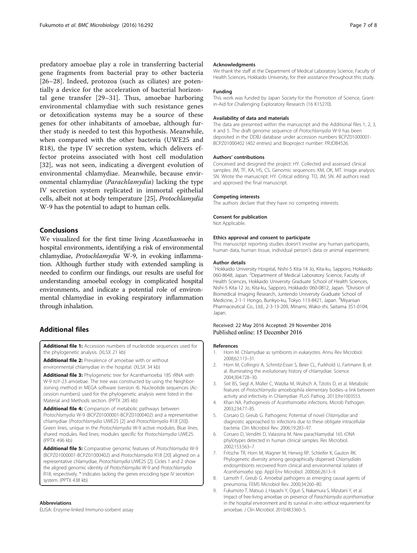<span id="page-6-0"></span>predatory amoebae play a role in transferring bacterial gene fragments from bacterial pray to other bacteria [[26](#page-7-0)–[28\]](#page-7-0). Indeed, protozoa (such as ciliates) are potentially a device for the acceleration of bacterial horizontal gene transfer [[29](#page-7-0)–[31\]](#page-7-0). Thus, amoebae harboring environmental chlamydiae with such resistance genes or detoxification systems may be a source of these genes for other inhabitants of amoebae, although further study is needed to test this hypothesis. Meanwhile, when compared with the other bacteria (UWE25 and R18), the type IV secretion system, which delivers effector proteins associated with host cell modulation [[32\]](#page-7-0), was not seen, indicating a divergent evolution of environmental chlamydiae. Meanwhile, because environmental chlamydiae (Parachlamydia) lacking the type IV secretion system replicated in immortal epithelial cells, albeit not at body temperature [\[25](#page-7-0)], Protochlamydia W-9 has the potential to adapt to human cells.

## Conclusions

We visualized for the first time living Acanthamoeba in hospital environments, identifying a risk of environmental chlamydiae, Protochlamydia W-9, in evoking inflammation. Although further study with extended sampling is needed to confirm our findings, our results are useful for understanding amoebal ecology in complicated hospital environments, and indicate a potential role of environmental chlamydiae in evoking respiratory inflammation through inhalation.

## Additional files

[Additional file 1:](dx.doi.org/10.1186/s12866-016-0906-1) Accession numbers of nucleotide sequences used for the phylogenetic analysis. (XLSX 21 kb)

[Additional file 2:](dx.doi.org/10.1186/s12866-016-0906-1) Prevalence of amoebae with or without environmental chlamydiae in the hospital. (XLSX 34 kb)

[Additional file 3:](dx.doi.org/10.1186/s12866-016-0906-1) Phylogenetic tree for Acanthamoeba 18S rRNA with W-9 toY-23 amoebae. The tree was constructed by using the Neighbor-Joining method in MEGA software (version 4). Nucleotide sequences (Accession numbers) used for the phylogenetic analysis were listed in the Material and Methods section. (PPTX 285 kb)

[Additional file 4:](dx.doi.org/10.1186/s12866-016-0906-1) Comparison of metabolic pathways between Protochlamydia W-9 (BCPZ01000001-BCPZ01000402) and a representative chlamydiae (Protochlamydia UWE25 [2] and Protochlamydia R18 [[20\]](#page-7-0)). Green lines, unique in the Protochlamydia W-9 active modules. Blue lines, shared modules. Red lines; modules specific for Protochlamydia UWE25. (PPTX 496 kb)

[Additional file 5:](dx.doi.org/10.1186/s12866-016-0906-1) Comparative genomic features of Protochlamydia W-9 (BCPZ01000001-BCPZ01000402) and Protochlamydia R18 [[20\]](#page-7-0) aligned on a representative chlamydiae, Protochlamydia UWE25 [2]. Cicles 1 and 2 show the aligned genomic identity of Protochlamydia W-9 and Protochlamydia R18, respectively. \* indicates lacking the genes encoding type IV secretion system. (PPTX 438 kb)

#### Abbreviations

ELISA: Enzyme-linked Immuno-sorbent assay

#### Acknowledgments

We thank the staff at the Department of Medical Laboratory Science, Faculty of Health Sciences, Hokkaido University, for their assistance throughout this study.

#### Funding

This work was funded by Japan Society for the Promotion of Science, Grantin-Aid for Challenging Exploratory Research (16 K15270).

#### Availability of data and materials

The data are presented within the manuscript and the Additional files 1, 2, 3, 4 and 5. The draft genome sequence of Protochlamydia W-9 has been deposited in the DDBJ database under accession numbers BCPZ01000001- BCPZ01000402 (402 entries) and Bioproject number: PRJDB4526.

#### Authors' contributions

Conceived and designed the project: HY. Collected and assessed clinical samples: JM, TF, KA, HS, CS. Genomic sequences: KM, OK, MT. Image analysis: SN. Wrote the manuscript: HY. Critical editing: TO, JM, SN. All authors read and approved the final manuscript.

#### Competing interests

The authors declare that they have no competing interests.

#### Consent for publication

Not Applicable.

#### Ethics approval and consent to participate

This manuscript reporting studies doesn't involve any human participants, human data, human tissue, individual person's data or animal experiment.

#### Author details

<sup>1</sup> Hokkaido University Hospital, Nishi-5 Kita-14 Jo, Kita-ku, Sapporo, Hokkaidc 060-8648, Japan. <sup>2</sup> Department of Medical Laboratory Science, Faculty of Health Sciences, Hokkaido University Graduate School of Health Sciences, Nishi-5 Kita-12 Jo, Kita-ku, Sapporo, Hokkaido 060-0812, Japan. <sup>3</sup>Division of Biomedical Imaging Research, Juntendo University Graduate School of Medicine, 2-1-1 Hongo, Bunkyo-ku, Tokyo 113-8421, Japan. <sup>4</sup>Miyarisan Pharmaceutical Co., Ltd., 2-3-13-209, Minami, Wako-shi, Saitama 351-0104, Japan.

#### Received: 22 May 2016 Accepted: 29 November 2016 Published online: 15 December 2016

#### References

- 1. Horn M. Chlamydiae as symbionts in eukaryotes. Annu Rev Microbiol. 2008;62:113–31.
- 2. Horn M, Collingro A, Schmitz-Esser S, Beier CL, Purkhold U, Fartmann B, et al. Illuminating the evolutionary history of chlamydiae. Science. 2004;304:728–30.
- 3. Sixt BS, Siegl A, Müller C, Watzka M, Wultsch A, Tziotis D, et al. Metabolic features of Protochlamydia amoebophila elementary bodies–a link between activity and infectivity in Chlamydiae. PLoS Pathog. 2013;9:e1003553.
- 4. Khan NA. Pathogenesis of Acanthamoeba infections. Microb Pathogen. 2003;234:77–85.
- 5. Corsaro D, Greub G. Pathogenic Potential of novel Chlamydiae and diagnostic approached to infections due to these obligate intracellular bacteria. Clin Microbiol Rev. 2006;19:283–97.
- 6. Corsaro D, Venditti D, Valassina M. New parachlamydial 16S rDNA phylotypes detected in human clinical samples. Res Microbiol. 2002;153:563–7.
- Fritsche TR, Horn M, Wagner M, Herwig RP, Schleifer K, Gauton RK. Phylogenetic diversity among geographically dispersed Chlamydiales endosymbionts recovered from clinical and environmental isolates of Acanthamoeba spp. Appl Env Microbiol. 2000;66:2613–9.
- 8. Lamoth F, Greub G. Amoebal pathogens as emerging causal agents of pneumonia. FEMS Microbiol Rev. 2000;34:260–80.
- 9. Fukumoto T, Matsuo J, Hayashi Y, Oguri S, Nakamura S, Mizutani Y, et al. Impact of free-living amoebae on presence of Parachlamydia acanthamoebae in the hospital environment and its survival in vitro without requirement for amoebae. J Clin Microbiol. 2010;48:3360–5.